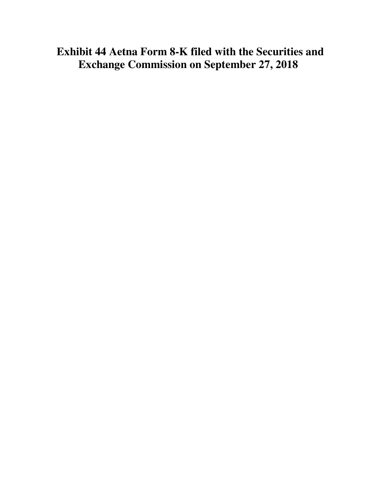# **Exhibit 44 Aetna Form 8-K filed with the Securities and Exchange Commission on September 27, 2018**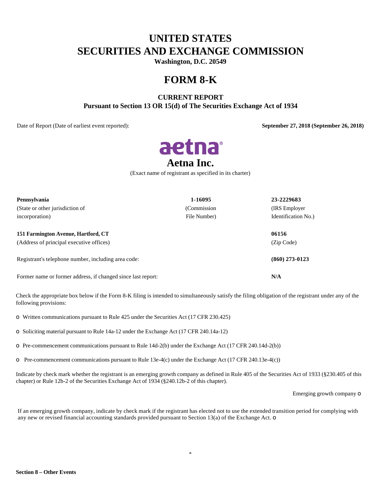## **UNITED STATES SECURITIES AND EXCHANGE COMMISSION**

**Washington, D.C. 20549**

### **FORM 8-K**

### **CURRENT REPORT Pursuant to Section 13 OR 15(d) of The Securities Exchange Act of 1934**

Date of Report (Date of earliest event reported): **September 27, 2018 (September 26, 2018)**



(Exact name of registrant as specified in its charter)

| Pennsylvania                                                 | 1-16095      | 23-2229683          |
|--------------------------------------------------------------|--------------|---------------------|
| (State or other jurisdiction of                              | (Commission) | (IRS Employer)      |
| incorporation)                                               | File Number) | Identification No.) |
|                                                              |              |                     |
| 151 Farmington Avenue, Hartford, CT                          |              | 06156               |
| (Address of principal executive offices)                     |              | (Zip Code)          |
|                                                              |              |                     |
| Registrant's telephone number, including area code:          |              | $(860)$ 273-0123    |
|                                                              |              |                     |
| Former name or former address, if changed since last report: |              | N/A                 |

Check the appropriate box below if the Form 8-K filing is intended to simultaneously satisfy the filing obligation of the registrant under any of the following provisions:

Written communications pursuant to Rule 425 under the Securities Act (17 CFR 230.425)

O Soliciting material pursuant to Rule 14a-12 under the Exchange Act (17 CFR 240.14a-12)

Pre-commencement communications pursuant to Rule 14d-2(b) under the Exchange Act (17 CFR 240.14d-2(b))

Pre-commencement communications pursuant to Rule 13e-4(c) under the Exchange Act (17 CFR 240.13e-4(c))

Indicate by check mark whether the registrant is an emerging growth company as defined in Rule 405 of the Securities Act of 1933 (§230.405 of this chapter) or Rule 12b-2 of the Securities Exchange Act of 1934 (§240.12b-2 of this chapter).

Emerging growth company

If an emerging growth company, indicate by check mark if the registrant has elected not to use the extended transition period for complying with any new or revised financial accounting standards provided pursuant to Section 13(a) of the Exchange Act. O

 $\blacksquare$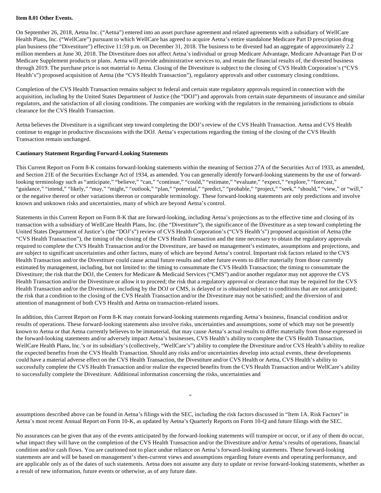#### **Item 8.01 Other Events.**

On September 26, 2018, Aetna Inc. ("Aetna") entered into an asset purchase agreement and related agreements with a subsidiary of WellCare Health Plans, Inc. ("WellCare") pursuant to which WellCare has agreed to acquire Aetna's entire standalone Medicare Part D prescription drug plan business (the "Divestiture") effective 11:59 p.m. on December 31, 2018. The business to be divested had an aggregate of approximately 2.2 million members at June 30, 2018. The Divestiture does not affect Aetna's individual or group Medicare Advantage, Medicare Advantage Part D or Medicare Supplement products or plans. Aetna will provide administrative services to, and retain the financial results of, the divested business through 2019. The purchase price is not material to Aetna. Closing of the Divestiture is subject to the closing of CVS Health Corporation's ("CVS Health's") proposed acquisition of Aetna (the "CVS Health Transaction"), regulatory approvals and other customary closing conditions.

Completion of the CVS Health Transaction remains subject to federal and certain state regulatory approvals required in connection with the acquisition, including by the United States Department of Justice (the "DOJ") and approvals from certain state departments of insurance and similar regulators, and the satisfaction of all closing conditions. The companies are working with the regulators in the remaining jurisdictions to obtain clearance for the CVS Health Transaction.

Aetna believes the Divestiture is a significant step toward completing the DOJ's review of the CVS Health Transaction. Aetna and CVS Health continue to engage in productive discussions with the DOJ. Aetna's expectations regarding the timing of the closing of the CVS Health Transaction remain unchanged.

#### **Cautionary Statement Regarding Forward-Looking Statements**

This Current Report on Form 8-K contains forward-looking statements within the meaning of Section 27A of the Securities Act of 1933, as amended, and Section 21E of the Securities Exchange Act of 1934, as amended. You can generally identify forward-looking statements by the use of forwardlooking terminology such as "anticipate," "believe," "can," "continue," "could," "estimate," "evaluate," "expect," "explore," "forecast," "guidance," "intend," "likely," "may," "might," "outlook," "plan," "potential," "predict," "probable," "project," "seek," "should," "view," or "will," or the negative thereof or other variations thereon or comparable terminology. These forward-looking statements are only predictions and involve known and unknown risks and uncertainties, many of which are beyond Aetna's control.

Statements in this Current Report on Form 8-K that are forward-looking, including Aetna's projections as to the effective time and closing of its transaction with a subsidiary of WellCare Health Plans, Inc. (the "Divestiture"), the significance of the Divestiture as a step toward completing the United States Department of Justice's (the "DOJ's") review of CVS Health Corporation's ("CVS Health's") proposed acquisition of Aetna (the "CVS Health Transaction"), the timing of the closing of the CVS Health Transaction and the time necessary to obtain the regulatory approvals required to complete the CVS Health Transaction and/or the Divestiture, are based on management's estimates, assumptions and projections, and are subject to significant uncertainties and other factors, many of which are beyond Aetna's control. Important risk factors related to the CVS Health Transaction and/or the Divestiture could cause actual future results and other future events to differ materially from those currently estimated by management, including, but not limited to: the timing to consummate the CVS Health Transaction; the timing to consummate the Divestiture; the risk that the DOJ, the Centers for Medicare & Medicaid Services ("CMS") and/or another regulator may not approve the CVS Health Transaction and/or the Divestiture or allow it to proceed; the risk that a regulatory approval or clearance that may be required for the CVS Health Transaction and/or the Divestiture, including by the DOJ or CMS, is delayed or is obtained subject to conditions that are not anticipated; the risk that a condition to the closing of the CVS Health Transaction and/or the Divestiture may not be satisfied; and the diversion of and attention of management of both CVS Health and Aetna on transaction-related issues.

In addition, this Current Report on Form 8-K may contain forward-looking statements regarding Aetna's business, financial condition and/or results of operations. These forward-looking statements also involve risks, uncertainties and assumptions, some of which may not be presently known to Aetna or that Aetna currently believes to be immaterial, that may cause Aetna's actual results to differ materially from those expressed in the forward-looking statements and/or adversely impact Aetna's businesses, CVS Health's ability to complete the CVS Health Transaction, WellCare Health Plans, Inc.'s or its subsidiary's (collectively, "WellCare's") ability to complete the Divestiture and/or CVS Health's ability to realize the expected benefits from the CVS Health Transaction. Should any risks and/or uncertainties develop into actual events, these developments could have a material adverse effect on the CVS Health Transaction, the Divestiture and/or CVS Health or Aetna, CVS Health's ability to successfully complete the CVS Health Transaction and/or realize the expected benefits from the CVS Health Transaction and/or WellCare's ability to successfully complete the Divestiture. Additional information concerning the risks, uncertainties and

 $\blacksquare$ 

assumptions described above can be found in Aetna's filings with the SEC, including the risk factors discussed in "Item 1A. Risk Factors" in Aetna's most recent Annual Report on Form 10-K, as updated by Aetna's Quarterly Reports on Form 10-Q and future filings with the SEC.

No assurances can be given that any of the events anticipated by the forward-looking statements will transpire or occur, or if any of them do occur, what impact they will have on the completion of the CVS Health Transaction and/or the Divestiture and/or Aetna's results of operations, financial condition and/or cash flows. You are cautioned not to place undue reliance on Aetna's forward-looking statements. These forward-looking statements are and will be based on management's then-current views and assumptions regarding future events and operating performance, and are applicable only as of the dates of such statements. Aetna does not assume any duty to update or revise forward-looking statements, whether as a result of new information, future events or otherwise, as of any future date.